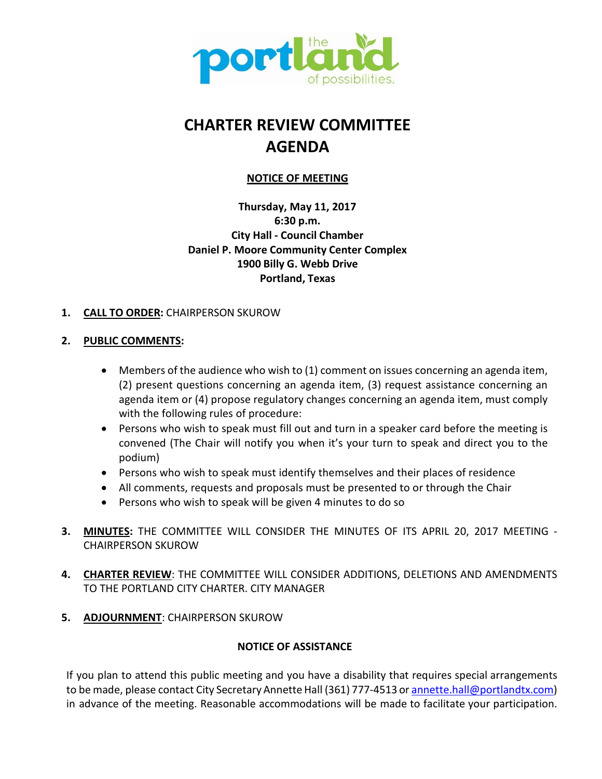

# **CHARTER REVIEW COMMITTEE AGENDA**

# **NOTICE OF MEETING**

**Thursday, May 11, 2017 6:30 p.m. City Hall - Council Chamber Daniel P. Moore Community Center Complex 1900 Billy G. Webb Drive Portland, Texas**

# **1. CALL TO ORDER:** CHAIRPERSON SKUROW

# **2. PUBLIC COMMENTS:**

- Members of the audience who wish to (1) comment on issues concerning an agenda item, (2) present questions concerning an agenda item, (3) request assistance concerning an agenda item or (4) propose regulatory changes concerning an agenda item, must comply with the following rules of procedure:
- Persons who wish to speak must fill out and turn in a speaker card before the meeting is convened (The Chair will notify you when it's your turn to speak and direct you to the podium)
- Persons who wish to speak must identify themselves and their places of residence
- All comments, requests and proposals must be presented to or through the Chair
- Persons who wish to speak will be given 4 minutes to do so
- **3. MINUTES:** THE COMMITTEE WILL CONSIDER THE MINUTES OF ITS APRIL 20, 2017 MEETING CHAIRPERSON SKUROW
- **4. CHARTER REVIEW**: THE COMMITTEE WILL CONSIDER ADDITIONS, DELETIONS AND AMENDMENTS TO THE PORTLAND CITY CHARTER. CITY MANAGER
- **5. ADJOURNMENT**: CHAIRPERSON SKUROW

## **NOTICE OF ASSISTANCE**

If you plan to attend this public meeting and you have a disability that requires special arrangements to be made, please contact City Secretary Annette Hall (361) 777-4513 or annette.hall@portlandtx.com) in advance of the meeting. Reasonable accommodations will be made to facilitate your participation.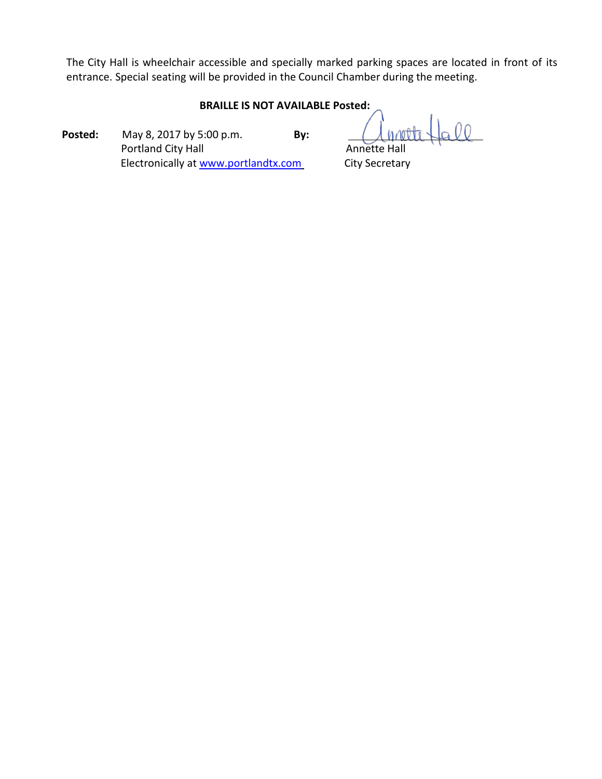The City Hall is wheelchair accessible and specially marked parking spaces are located in front of its entrance. Special seating will be provided in the Council Chamber during the meeting.

## **BRAILLE IS NOT AVAILABLE Posted:**

**Posted:** May 8, 2017 by 5:00 p.m. **By:** Portland City Hall **Annette Hall** Annette Hall Electronically at [www.portlandtx.com](http://www.portlandtx.com/) City Secretary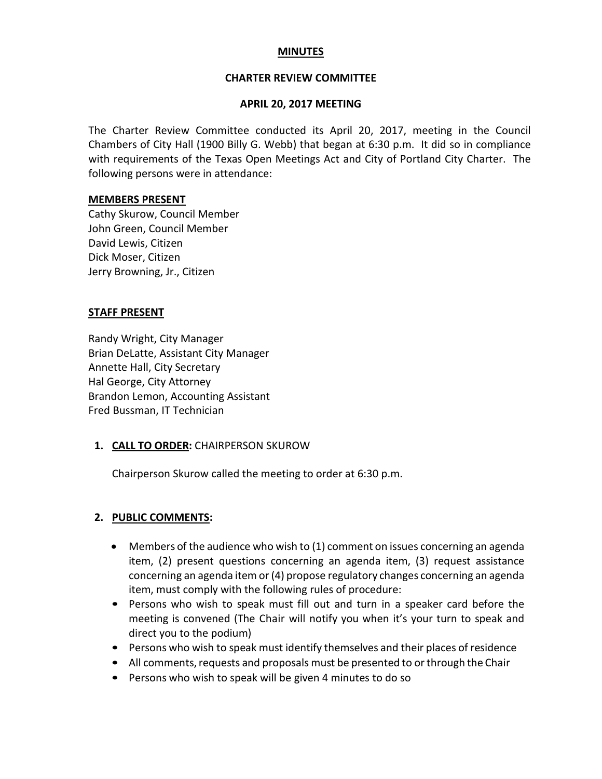## **MINUTES**

#### **CHARTER REVIEW COMMITTEE**

#### **APRIL 20, 2017 MEETING**

The Charter Review Committee conducted its April 20, 2017, meeting in the Council Chambers of City Hall (1900 Billy G. Webb) that began at 6:30 p.m. It did so in compliance with requirements of the Texas Open Meetings Act and City of Portland City Charter. The following persons were in attendance:

#### **MEMBERS PRESENT**

Cathy Skurow, Council Member John Green, Council Member David Lewis, Citizen Dick Moser, Citizen Jerry Browning, Jr., Citizen

#### **STAFF PRESENT**

Randy Wright, City Manager Brian DeLatte, Assistant City Manager Annette Hall, City Secretary Hal George, City Attorney Brandon Lemon, Accounting Assistant Fred Bussman, IT Technician

## **1. CALL TO ORDER:** CHAIRPERSON SKUROW

Chairperson Skurow called the meeting to order at 6:30 p.m.

## **2. PUBLIC COMMENTS:**

- Members of the audience who wish to (1) comment on issues concerning an agenda item, (2) present questions concerning an agenda item, (3) request assistance concerning an agenda item or(4) propose regulatory changes concerning an agenda item, must comply with the following rules of procedure:
- Persons who wish to speak must fill out and turn in a speaker card before the meeting is convened (The Chair will notify you when it's your turn to speak and direct you to the podium)
- Persons who wish to speak must identify themselves and their places of residence
- All comments, requests and proposals must be presented to or through the Chair
- Persons who wish to speak will be given 4 minutes to do so